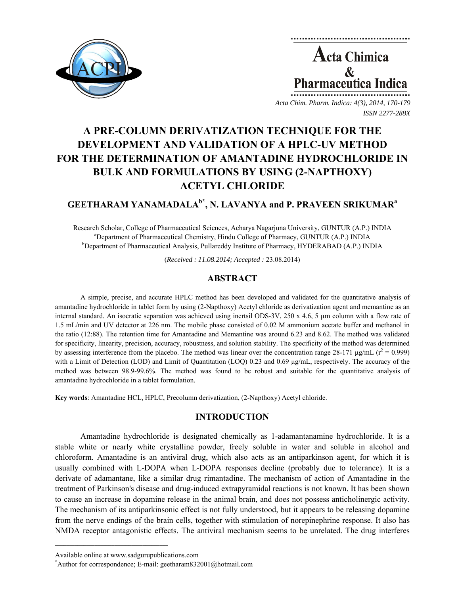

**Acta Chimica**  $\mathbf{\&}$ **Pharmaceutica Indica** 

*Acta Chim. Pharm. Indica: 4(3), 2014, 170-179 ISSN 2277-288X*

# **A PRE-COLUMN DERIVATIZATION TECHNIQUE FOR THE DEVELOPMENT AND VALIDATION OF A HPLC-UV METHOD FOR THE DETERMINATION OF AMANTADINE HYDROCHLORIDE IN BULK AND FORMULATIONS BY USING (2-NAPTHOXY) ACETYL CHLORIDE**

# **GEETHARAM YANAMADALAb\*, N. LAVANYA and P. PRAVEEN SRIKUMARa**

Research Scholar, College of Pharmaceutical Sciences, Acharya Nagarjuna University, GUNTUR (A.P.) INDIA a <sup>a</sup>Department of Pharmaceutical Chemistry, Hindu College of Pharmacy, GUNTUR (A.P.) INDIA <sup>b</sup>Department of Pharmaceutical Analysis, Pullareddy Institute of Pharmacy, HYDERABAD (A.P.) INDIA

(*Received : 11.08.2014; Accepted :* 23.08.2014)

# **ABSTRACT**

A simple, precise, and accurate HPLC method has been developed and validated for the quantitative analysis of amantadine hydrochloride in tablet form by using (2-Napthoxy) Acetyl chloride as derivatization agent and memantine as an internal standard. An isocratic separation was achieved using inertsil ODS-3V, 250 x 4.6, 5  $\mu$ m column with a flow rate of 1.5 mL/min and UV detector at 226 nm. The mobile phase consisted of 0.02 M ammonium acetate buffer and methanol in the ratio (12:88). The retention time for Amantadine and Memantine was around 6.23 and 8.62. The method was validated for specificity, linearity, precision, accuracy, robustness, and solution stability. The specificity of the method was determined by assessing interference from the placebo. The method was linear over the concentration range 28-171  $\mu$ g/mL ( $r^2$  = 0.999) with a Limit of Detection (LOD) and Limit of Quantitation (LOQ) 0.23 and 0.69 μg/mL, respectively. The accuracy of the method was between 98.9-99.6%. The method was found to be robust and suitable for the quantitative analysis of amantadine hydrochloride in a tablet formulation.

**Key words**: Amantadine HCL, HPLC, Precolumn derivatization, (2-Napthoxy) Acetyl chloride.

# **INTRODUCTION**

Amantadine hydrochloride is designated chemically as 1-adamantanamine hydrochloride. It is a stable white or nearly white crystalline powder, freely soluble in water and soluble in alcohol and chloroform. Amantadine is an antiviral drug, which also acts as an antiparkinson agent, for which it is usually combined with L-DOPA when L-DOPA responses decline (probably due to tolerance). It is a derivate of adamantane, like a similar drug rimantadine. The mechanism of action of Amantadine in the treatment of Parkinson's disease and drug-induced extrapyramidal reactions is not known. It has been shown to cause an increase in dopamine release in the animal brain, and does not possess anticholinergic activity. The mechanism of its antiparkinsonic effect is not fully understood, but it appears to be releasing dopamine from the nerve endings of the brain cells, together with stimulation of norepinephrine response. It also has NMDA receptor antagonistic effects. The antiviral mechanism seems to be unrelated. The drug interferes

 $\mathcal{L} = \{ \mathcal{L} \}$ 

Available online at www.sadgurupublications.com \*

Author for correspondence; E-mail: geetharam832001@hotmail.com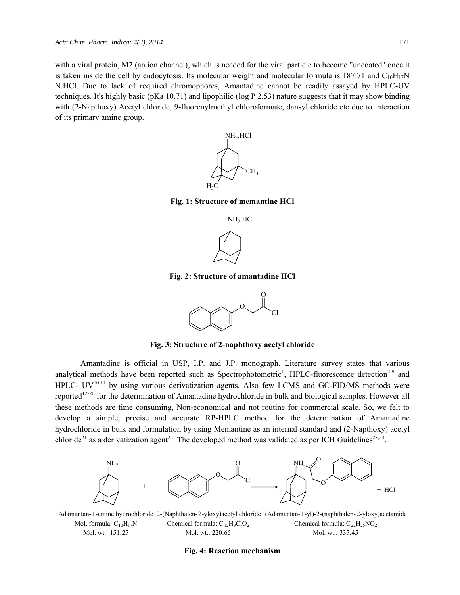with a viral protein, M2 (an ion channel), which is needed for the viral particle to become "uncoated" once it is taken inside the cell by endocytosis. Its molecular weight and molecular formula is 187.71 and  $C_{10}H_{17}N$ N.HCl. Due to lack of required chromophores, Amantadine cannot be readily assayed by HPLC-UV techniques. It's highly basic (pKa 10.71) and lipophilic (log P 2.53) nature suggests that it may show binding with (2-Napthoxy) Acetyl chloride, 9-fluorenylmethyl chloroformate, dansyl chloride etc due to interaction of its primary amine group.



**Fig. 1: Structure of memantine HCl** 



**Fig. 2: Structure of amantadine HCl** 



**Fig. 3: Structure of 2-naphthoxy acetyl chloride** 

Amantadine is official in USP, I.P. and J.P. monograph. Literature survey states that various analytical methods have been reported such as Spectrophotometric<sup>1</sup>, HPLC-fluorescence detection<sup>2-9</sup> and HPLC-  $UV^{10,11}$  by using various derivatization agents. Also few LCMS and GC-FID/MS methods were reported<sup>12-20</sup> for the determination of Amantadine hydrochloride in bulk and biological samples. However all these methods are time consuming, Non-economical and not routine for commercial scale. So, we felt to develop a simple, precise and accurate RP-HPLC method for the determination of Amantadine hydrochloride in bulk and formulation by using Memantine as an internal standard and (2-Napthoxy) acetyl chloride<sup>21</sup> as a derivatization agent<sup>22</sup>. The developed method was validated as per ICH Guidelines<sup>23,24</sup>.



Mol. formula:  $C_{10}H_{17}N$ Mol. wt.: 151.25 Chemical formula:  $C_{12}H_9ClO_2$ Mol. wt.: 220.65 Chemical formula:  $C_{22}H_{25}NO_2$ Mol. wt.: 335.45

#### **Fig. 4: Reaction mechanism**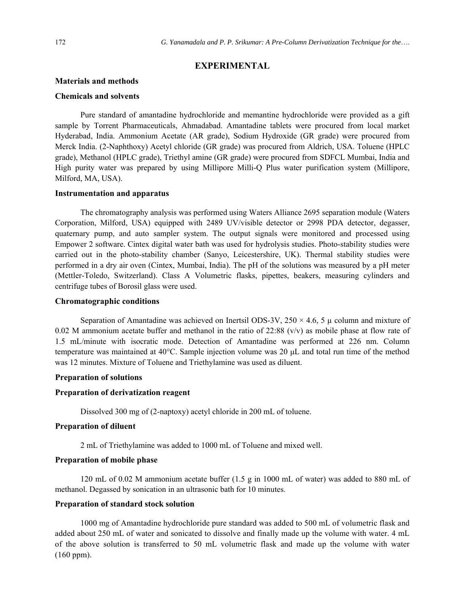# **EXPERIMENTAL**

#### **Materials and methods**

# **Chemicals and solvents**

Pure standard of amantadine hydrochloride and memantine hydrochloride were provided as a gift sample by Torrent Pharmaceuticals, Ahmadabad. Amantadine tablets were procured from local market Hyderabad, India. Ammonium Acetate (AR grade), Sodium Hydroxide (GR grade) were procured from Merck India. (2-Naphthoxy) Acetyl chloride (GR grade) was procured from Aldrich, USA. Toluene (HPLC grade), Methanol (HPLC grade), Triethyl amine (GR grade) were procured from SDFCL Mumbai, India and High purity water was prepared by using Millipore Milli-Q Plus water purification system (Millipore, Milford, MA, USA).

#### **Instrumentation and apparatus**

The chromatography analysis was performed using Waters Alliance 2695 separation module (Waters Corporation, Milford, USA) equipped with 2489 UV/visible detector or 2998 PDA detector, degasser, quaternary pump, and auto sampler system. The output signals were monitored and processed using Empower 2 software. Cintex digital water bath was used for hydrolysis studies. Photo-stability studies were carried out in the photo-stability chamber (Sanyo, Leicestershire, UK). Thermal stability studies were performed in a dry air oven (Cintex, Mumbai, India). The pH of the solutions was measured by a pH meter (Mettler-Toledo, Switzerland). Class A Volumetric flasks, pipettes, beakers, measuring cylinders and centrifuge tubes of Borosil glass were used.

# **Chromatographic conditions**

Separation of Amantadine was achieved on Inertsil ODS-3V,  $250 \times 4.6$ , 5  $\mu$  column and mixture of 0.02 M ammonium acetate buffer and methanol in the ratio of  $22:88$  (v/v) as mobile phase at flow rate of 1.5 mL/minute with isocratic mode. Detection of Amantadine was performed at 226 nm. Column temperature was maintained at 40°C. Sample injection volume was 20 μL and total run time of the method was 12 minutes. Mixture of Toluene and Triethylamine was used as diluent.

## **Preparation of solutions**

#### **Preparation of derivatization reagent**

Dissolved 300 mg of (2-naptoxy) acetyl chloride in 200 mL of toluene.

# **Preparation of diluent**

2 mL of Triethylamine was added to 1000 mL of Toluene and mixed well.

# **Preparation of mobile phase**

120 mL of 0.02 M ammonium acetate buffer (1.5 g in 1000 mL of water) was added to 880 mL of methanol. Degassed by sonication in an ultrasonic bath for 10 minutes.

#### **Preparation of standard stock solution**

1000 mg of Amantadine hydrochloride pure standard was added to 500 mL of volumetric flask and added about 250 mL of water and sonicated to dissolve and finally made up the volume with water. 4 mL of the above solution is transferred to 50 mL volumetric flask and made up the volume with water (160 ppm).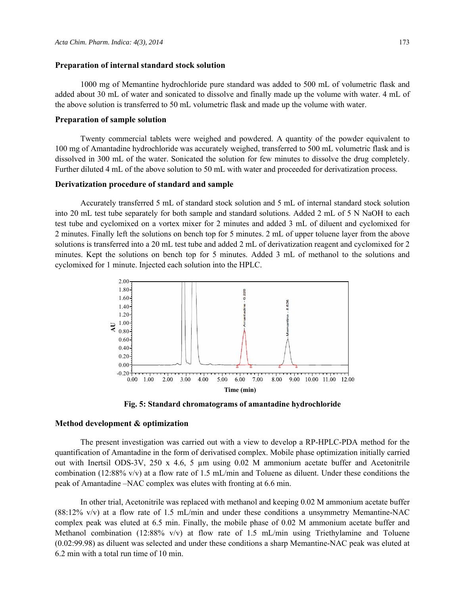#### **Preparation of internal standard stock solution**

1000 mg of Memantine hydrochloride pure standard was added to 500 mL of volumetric flask and added about 30 mL of water and sonicated to dissolve and finally made up the volume with water. 4 mL of the above solution is transferred to 50 mL volumetric flask and made up the volume with water.

# **Preparation of sample solution**

Twenty commercial tablets were weighed and powdered. A quantity of the powder equivalent to 100 mg of Amantadine hydrochloride was accurately weighed, transferred to 500 mL volumetric flask and is dissolved in 300 mL of the water. Sonicated the solution for few minutes to dissolve the drug completely. Further diluted 4 mL of the above solution to 50 mL with water and proceeded for derivatization process.

#### **Derivatization procedure of standard and sample**

Accurately transferred 5 mL of standard stock solution and 5 mL of internal standard stock solution into 20 mL test tube separately for both sample and standard solutions. Added 2 mL of 5 N NaOH to each test tube and cyclomixed on a vortex mixer for 2 minutes and added 3 mL of diluent and cyclomixed for 2 minutes. Finally left the solutions on bench top for 5 minutes. 2 mL of upper toluene layer from the above solutions is transferred into a 20 mL test tube and added 2 mL of derivatization reagent and cyclomixed for 2 minutes. Kept the solutions on bench top for 5 minutes. Added 3 mL of methanol to the solutions and cyclomixed for 1 minute. Injected each solution into the HPLC.



**Fig. 5: Standard chromatograms of amantadine hydrochloride**

### **Method development & optimization**

The present investigation was carried out with a view to develop a RP-HPLC-PDA method for the quantification of Amantadine in the form of derivatised complex. Mobile phase optimization initially carried out with Inertsil ODS-3V, 250 x 4.6, 5 µm using 0.02 M ammonium acetate buffer and Acetonitrile combination (12:88% v/v) at a flow rate of 1.5 mL/min and Toluene as diluent. Under these conditions the peak of Amantadine –NAC complex was elutes with fronting at 6.6 min.

In other trial, Acetonitrile was replaced with methanol and keeping 0.02 M ammonium acetate buffer (88:12% v/v) at a flow rate of 1.5 mL/min and under these conditions a unsymmetry Memantine-NAC complex peak was eluted at 6.5 min. Finally, the mobile phase of 0.02 M ammonium acetate buffer and Methanol combination (12:88% v/v) at flow rate of 1.5 mL/min using Triethylamine and Toluene (0.02:99.98) as diluent was selected and under these conditions a sharp Memantine-NAC peak was eluted at 6.2 min with a total run time of 10 min.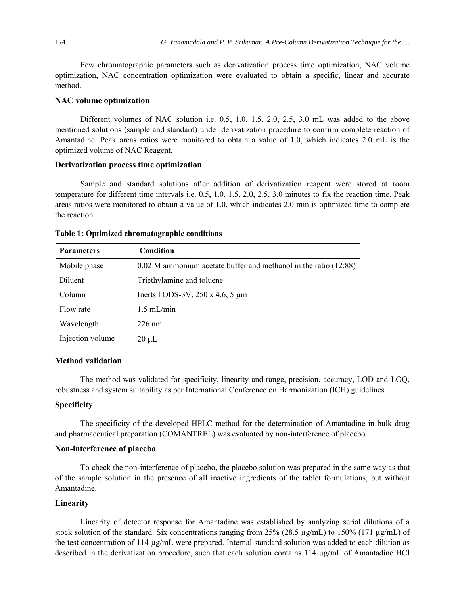Few chromatographic parameters such as derivatization process time optimization, NAC volume optimization, NAC concentration optimization were evaluated to obtain a specific, linear and accurate method.

## **NAC volume optimization**

Different volumes of NAC solution i.e. 0.5, 1.0, 1.5, 2.0, 2.5, 3.0 mL was added to the above mentioned solutions (sample and standard) under derivatization procedure to confirm complete reaction of Amantadine. Peak areas ratios were monitored to obtain a value of 1.0, which indicates 2.0 mL is the optimized volume of NAC Reagent.

# **Derivatization process time optimization**

Sample and standard solutions after addition of derivatization reagent were stored at room temperature for different time intervals i.e. 0.5, 1.0, 1.5, 2.0, 2.5, 3.0 minutes to fix the reaction time. Peak areas ratios were monitored to obtain a value of 1.0, which indicates 2.0 min is optimized time to complete the reaction.

| <b>Parameters</b> | <b>Condition</b>                                                     |
|-------------------|----------------------------------------------------------------------|
| Mobile phase      | $0.02$ M ammonium acetate buffer and methanol in the ratio $(12.88)$ |
| Diluent           | Triethylamine and toluene                                            |
| Column            | Inertsil ODS-3V, $250 \times 4.6$ , 5 $\mu$ m                        |
| Flow rate         | $1.5$ mL/min                                                         |
| Wavelength        | $226$ nm                                                             |
| Injection volume  | $20 \mu L$                                                           |

# **Table 1: Optimized chromatographic conditions**

# **Method validation**

The method was validated for specificity, linearity and range, precision, accuracy, LOD and LOQ, robustness and system suitability as per International Conference on Harmonization (ICH) guidelines.

# **Specificity**

The specificity of the developed HPLC method for the determination of Amantadine in bulk drug and pharmaceutical preparation (COMANTREL) was evaluated by non-interference of placebo.

# **Non-interference of placebo**

To check the non-interference of placebo, the placebo solution was prepared in the same way as that of the sample solution in the presence of all inactive ingredients of the tablet formulations, but without Amantadine.

# **Linearity**

Linearity of detector response for Amantadine was established by analyzing serial dilutions of a stock solution of the standard. Six concentrations ranging from  $25\%$  (28.5  $\mu$ g/mL) to 150% (171  $\mu$ g/mL) of the test concentration of  $114 \mu g/mL$  were prepared. Internal standard solution was added to each dilution as described in the derivatization procedure, such that each solution contains  $114 \mu g/mL$  of Amantadine HCl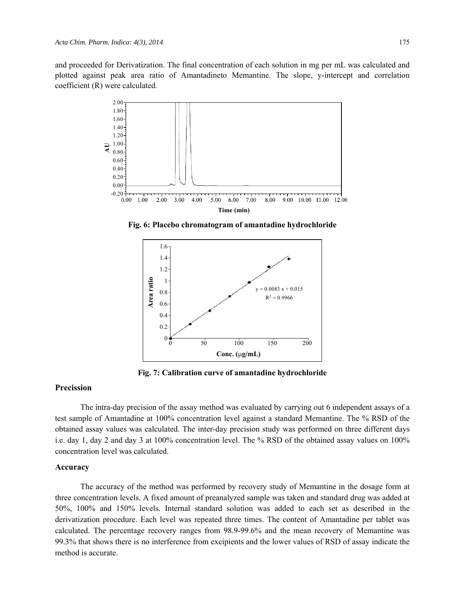and proceeded for Derivatization. The final concentration of each solution in mg per mL was calculated and plotted against peak area ratio of Amantadineto Memantine. The slope, y-intercept and correlation coefficient (R) were calculated.



**Fig. 6: Placebo chromatogram of amantadine hydrochloride**



**Fig. 7: Calibration curve of amantadine hydrochloride**

## **Precission**

The intra-day precision of the assay method was evaluated by carrying out 6 independent assays of a test sample of Amantadine at 100% concentration level against a standard Memantine. The % RSD of the obtained assay values was calculated. The inter-day precision study was performed on three different days i.e. day 1, day 2 and day 3 at 100% concentration level. The % RSD of the obtained assay values on 100% concentration level was calculated.

#### **Accuracy**

The accuracy of the method was performed by recovery study of Memantine in the dosage form at three concentration levels. A fixed amount of preanalyzed sample was taken and standard drug was added at 50%, 100% and 150% levels. Internal standard solution was added to each set as described in the derivatization procedure. Each level was repeated three times. The content of Amantadine per tablet was calculated. The percentage recovery ranges from 98.9-99.6% and the mean recovery of Memantine was 99.3% that shows there is no interference from excipients and the lower values of RSD of assay indicate the method is accurate.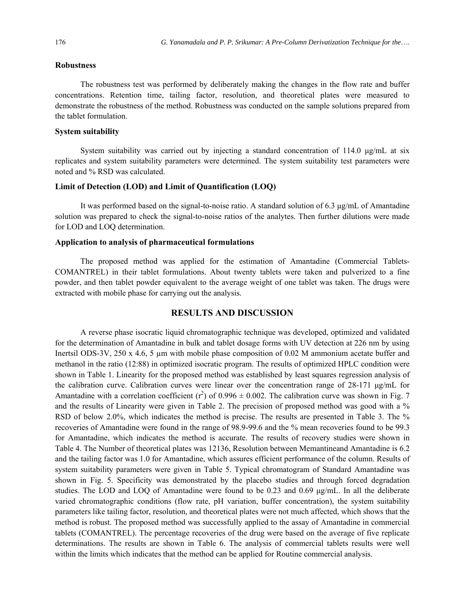# **Robustness**

The robustness test was performed by deliberately making the changes in the flow rate and buffer concentrations. Retention time, tailing factor, resolution, and theoretical plates were measured to demonstrate the robustness of the method. Robustness was conducted on the sample solutions prepared from the tablet formulation.

## **System suitability**

System suitability was carried out by injecting a standard concentration of 114.0  $\mu$ g/mL at six replicates and system suitability parameters were determined. The system suitability test parameters were noted and % RSD was calculated.

# **Limit of Detection (LOD) and Limit of Quantification (LOQ)**

It was performed based on the signal-to-noise ratio. A standard solution of 6.3 μg/mL of Amantadine solution was prepared to check the signal-to-noise ratios of the analytes. Then further dilutions were made for LOD and LOQ determination.

# **Application to analysis of pharmaceutical formulations**

The proposed method was applied for the estimation of Amantadine (Commercial Tablets-COMANTREL) in their tablet formulations. About twenty tablets were taken and pulverized to a fine powder, and then tablet powder equivalent to the average weight of one tablet was taken. The drugs were extracted with mobile phase for carrying out the analysis.

# **RESULTS AND DISCUSSION**

A reverse phase isocratic liquid chromatographic technique was developed, optimized and validated for the determination of Amantadine in bulk and tablet dosage forms with UV detection at 226 nm by using Inertsil ODS-3V, 250 x 4.6, 5  $\mu$ m with mobile phase composition of 0.02 M ammonium acetate buffer and methanol in the ratio (12:88) in optimized isocratic program. The results of optimized HPLC condition were shown in Table 1. Linearity for the proposed method was established by least squares regression analysis of the calibration curve. Calibration curves were linear over the concentration range of 28-171 μg/mL for Amantadine with a correlation coefficient ( $r^2$ ) of 0.996  $\pm$  0.002. The calibration curve was shown in Fig. 7 and the results of Linearity were given in Table 2. The precision of proposed method was good with a % RSD of below 2.0%, which indicates the method is precise. The results are presented in Table 3. The % recoveries of Amantadine were found in the range of 98.9-99.6 and the % mean recoveries found to be 99.3 for Amantadine, which indicates the method is accurate. The results of recovery studies were shown in Table 4. The Number of theoretical plates was 12136, Resolution between Memantineand Amantadine is 6.2 and the tailing factor was 1.0 for Amantadine, which assures efficient performance of the column. Results of system suitability parameters were given in Table 5. Typical chromatogram of Standard Amantadine was shown in Fig. 5. Specificity was demonstrated by the placebo studies and through forced degradation studies. The LOD and LOQ of Amantadine were found to be 0.23 and 0.69 μg/mL. In all the deliberate varied chromatographic conditions (flow rate, pH variation, buffer concentration), the system suitability parameters like tailing factor, resolution, and theoretical plates were not much affected, which shows that the method is robust. The proposed method was successfully applied to the assay of Amantadine in commercial tablets (COMANTREL). The percentage recoveries of the drug were based on the average of five replicate determinations. The results are shown in Table 6. The analysis of commercial tablets results were well within the limits which indicates that the method can be applied for Routine commercial analysis.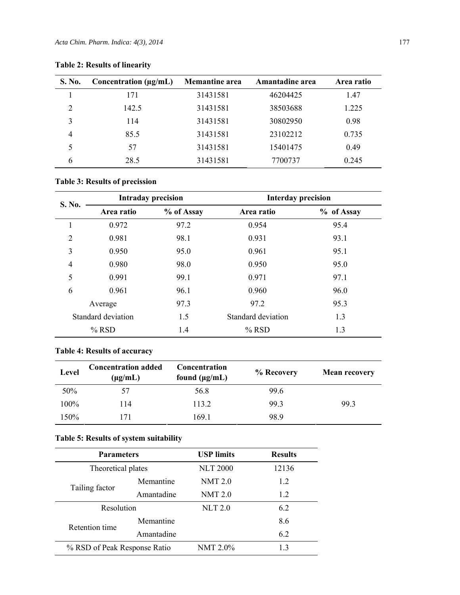| S. No.        | Concentration $(\mu g/mL)$ | <b>Memantine area</b> | Amantadine area | Area ratio |
|---------------|----------------------------|-----------------------|-----------------|------------|
|               | 171                        | 31431581              | 46204425        | 1.47       |
| $\mathcal{D}$ | 142.5                      | 31431581              | 38503688        | 1.225      |
| 3             | 114                        | 31431581              | 30802950        | 0.98       |
| 4             | 85.5                       | 31431581              | 23102212        | 0.735      |
|               | 57                         | 31431581              | 15401475        | 0.49       |
| 6             | 28.5                       | 31431581              | 7700737         | 0.245      |

# **Table 2: Results of linearity**

# **Table 3: Results of precission**

| S. No.         | <b>Intraday precision</b> |            | <b>Interday precision</b> |            |
|----------------|---------------------------|------------|---------------------------|------------|
|                | Area ratio                | % of Assay | Area ratio                | % of Assay |
|                | 0.972                     | 97.2       | 0.954                     | 95.4       |
| $\overline{2}$ | 0.981                     | 98.1       | 0.931                     | 93.1       |
| 3              | 0.950                     | 95.0       | 0.961                     | 95.1       |
| 4              | 0.980                     | 98.0       | 0.950                     | 95.0       |
| 5              | 0.991                     | 99.1       | 0.971                     | 97.1       |
| 6              | 0.961                     | 96.1       | 0.960                     | 96.0       |
|                | Average                   | 97.3       | 97.2                      | 95.3       |
|                | Standard deviation        | 1.5        | Standard deviation        | 1.3        |
|                | $%$ RSD                   | 1.4        | $%$ RSD                   | 1.3        |

# **Table 4: Results of accuracy**

| Level | <b>Concentration added</b><br>$(\mu g/mL)$ | Concentration<br>found $(\mu g/mL)$ | % Recovery | <b>Mean recovery</b> |
|-------|--------------------------------------------|-------------------------------------|------------|----------------------|
| 50%   | 57                                         | 56.8                                | 99.6       |                      |
| 100%  | 114                                        | 113.2                               | 99.3       | 99.3                 |
| 150%  | 171                                        | 169.1                               | 98.9       |                      |

# **Table 5: Results of system suitability**

| <b>Parameters</b>            |            | <b>USP</b> limits | <b>Results</b> |
|------------------------------|------------|-------------------|----------------|
| Theoretical plates           |            | <b>NLT 2000</b>   | 12136          |
| Tailing factor               | Memantine  | NMT 2.0           | 1.2            |
|                              | Amantadine | <b>NMT 2.0</b>    | 1.2            |
| Resolution                   |            | <b>NLT 2.0</b>    | 62             |
| Retention time               | Memantine  |                   | 8.6            |
|                              | Amantadine |                   | 6.2            |
| % RSD of Peak Response Ratio |            | NMT 2.0%          | 13             |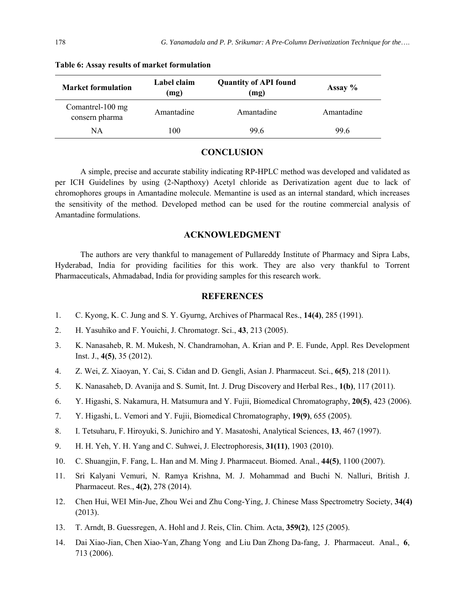| <b>Market formulation</b>          | Label claim<br>(mg) | <b>Quantity of API found</b><br>(mg) | Assay $%$  |
|------------------------------------|---------------------|--------------------------------------|------------|
| Comantrel-100 mg<br>consern pharma | Amantadine          | Amantadine                           | Amantadine |
| NΑ                                 | 100                 | 99.6                                 | 99.6       |

#### **Table 6: Assay results of market formulation**

# **CONCLUSION**

A simple, precise and accurate stability indicating RP-HPLC method was developed and validated as per ICH Guidelines by using (2-Napthoxy) Acetyl chloride as Derivatization agent due to lack of chromophores groups in Amantadine molecule. Memantine is used as an internal standard, which increases the sensitivity of the method. Developed method can be used for the routine commercial analysis of Amantadine formulations.

# **ACKNOWLEDGMENT**

The authors are very thankful to management of Pullareddy Institute of Pharmacy and Sipra Labs, Hyderabad, India for providing facilities for this work. They are also very thankful to Torrent Pharmaceuticals, Ahmadabad, India for providing samples for this research work.

## **REFERENCES**

- 1. C. Kyong, K. C. Jung and S. Y. Gyurng, Archives of Pharmacal Res., **14(4)**, 285 (1991).
- 2. H. Yasuhiko and F. Youichi, J. Chromatogr. Sci., **43**, 213 (2005).
- 3. K. Nanasaheb, R. M. Mukesh, N. Chandramohan, A. Krian and P. E. Funde, Appl. Res Development Inst. J., **4(5)**, 35 (2012).
- 4. Z. Wei, Z. Xiaoyan, Y. Cai, S. Cidan and D. Gengli, Asian J. Pharmaceut. Sci., **6(5)**, 218 (2011).
- 5. K. Nanasaheb, D. Avanija and S. Sumit, Int. J. Drug Discovery and Herbal Res., **1(b)**, 117 (2011).
- 6. Y. Higashi, S. Nakamura, H. Matsumura and Y. Fujii, Biomedical Chromatography, **20(5)**, 423 (2006).
- 7. Y. Higashi, L. Vemori and Y. Fujii, Biomedical Chromatography, **19(9)**, 655 (2005).
- 8. I. Tetsuharu, F. Hiroyuki, S. Junichiro and Y. Masatoshi, Analytical Sciences, **13**, 467 (1997).
- 9. H. H. Yeh, Y. H. Yang and C. Suhwei, J. Electrophoresis, **31(11)**, 1903 (2010).
- 10. C. Shuangjin, F. Fang, L. Han and M. Ming J. Pharmaceut. Biomed. Anal., **44(5)**, 1100 (2007).
- 11. Sri Kalyani Vemuri, N. Ramya Krishna, M. J. Mohammad and Buchi N. Nalluri, British J. Pharmaceut. Res., **4(2)**, 278 (2014).
- 12. Chen Hui, WEI Min-Jue, Zhou Wei and Zhu Cong-Ying, J. Chinese Mass Spectrometry Society, **34(4)** (2013).
- 13. T. Arndt, B. Guessregen, A. Hohl and J. Reis, Clin. Chim. Acta, **359(2)**, 125 (2005).
- 14. Dai Xiao-Jian, Chen Xiao-Yan, Zhang Yong and Liu Dan Zhong Da-fang, J. Pharmaceut. Anal., **6**, 713 (2006).